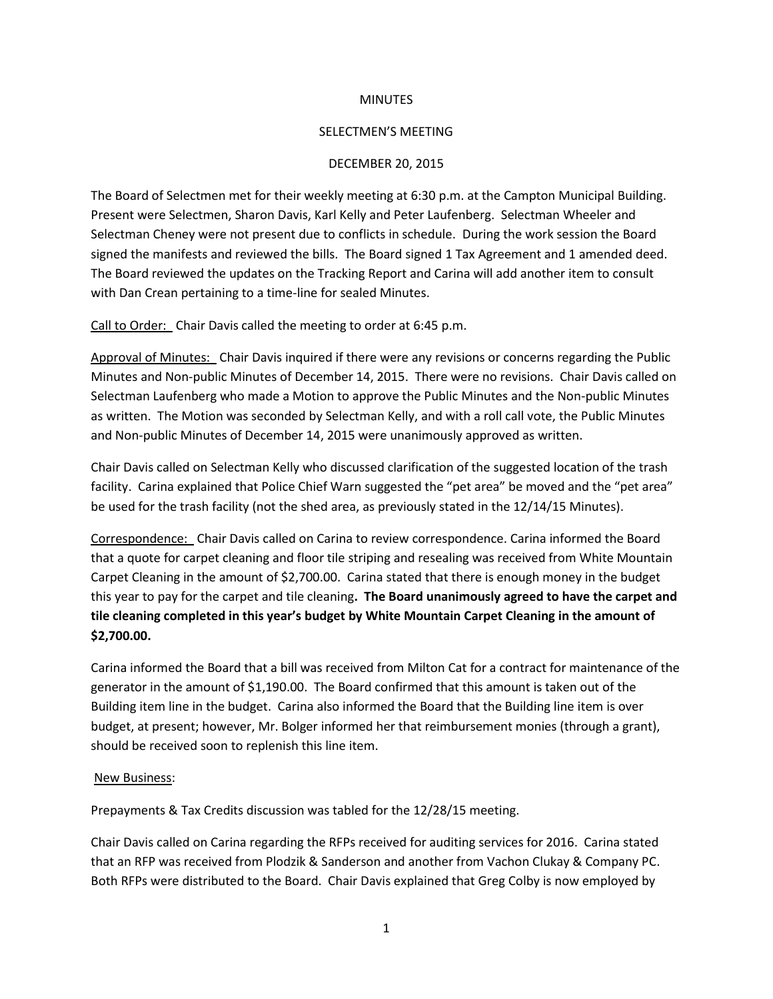## **MINUTES**

## SELECTMEN'S MEETING

## DECEMBER 20, 2015

The Board of Selectmen met for their weekly meeting at 6:30 p.m. at the Campton Municipal Building. Present were Selectmen, Sharon Davis, Karl Kelly and Peter Laufenberg. Selectman Wheeler and Selectman Cheney were not present due to conflicts in schedule. During the work session the Board signed the manifests and reviewed the bills. The Board signed 1 Tax Agreement and 1 amended deed. The Board reviewed the updates on the Tracking Report and Carina will add another item to consult with Dan Crean pertaining to a time-line for sealed Minutes.

Call to Order: Chair Davis called the meeting to order at 6:45 p.m.

Approval of Minutes: Chair Davis inquired if there were any revisions or concerns regarding the Public Minutes and Non-public Minutes of December 14, 2015. There were no revisions. Chair Davis called on Selectman Laufenberg who made a Motion to approve the Public Minutes and the Non-public Minutes as written. The Motion was seconded by Selectman Kelly, and with a roll call vote, the Public Minutes and Non-public Minutes of December 14, 2015 were unanimously approved as written.

Chair Davis called on Selectman Kelly who discussed clarification of the suggested location of the trash facility. Carina explained that Police Chief Warn suggested the "pet area" be moved and the "pet area" be used for the trash facility (not the shed area, as previously stated in the 12/14/15 Minutes).

Correspondence: Chair Davis called on Carina to review correspondence. Carina informed the Board that a quote for carpet cleaning and floor tile striping and resealing was received from White Mountain Carpet Cleaning in the amount of \$2,700.00. Carina stated that there is enough money in the budget this year to pay for the carpet and tile cleaning**. The Board unanimously agreed to have the carpet and tile cleaning completed in this year's budget by White Mountain Carpet Cleaning in the amount of \$2,700.00.** 

Carina informed the Board that a bill was received from Milton Cat for a contract for maintenance of the generator in the amount of \$1,190.00. The Board confirmed that this amount is taken out of the Building item line in the budget. Carina also informed the Board that the Building line item is over budget, at present; however, Mr. Bolger informed her that reimbursement monies (through a grant), should be received soon to replenish this line item.

## New Business:

Prepayments & Tax Credits discussion was tabled for the 12/28/15 meeting.

Chair Davis called on Carina regarding the RFPs received for auditing services for 2016. Carina stated that an RFP was received from Plodzik & Sanderson and another from Vachon Clukay & Company PC. Both RFPs were distributed to the Board. Chair Davis explained that Greg Colby is now employed by